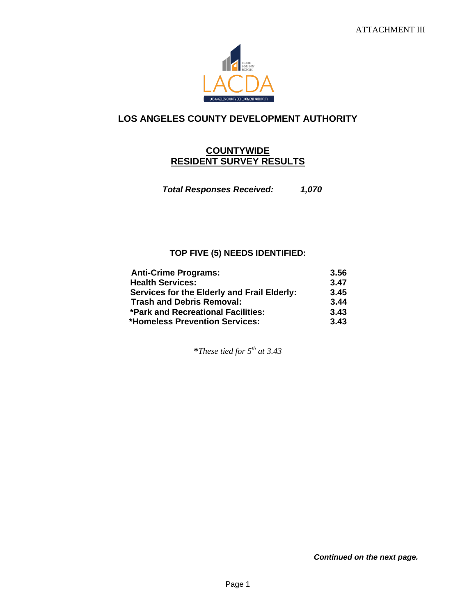

## **LOS ANGELES COUNTY DEVELOPMENT AUTHORITY**

## **COUNTYWIDE RESIDENT SURVEY RESULTS**

*Total Responses Received: 1,070*

## **TOP FIVE (5) NEEDS IDENTIFIED:**

| <b>Anti-Crime Programs:</b>                 | 3.56 |
|---------------------------------------------|------|
| <b>Health Services:</b>                     | 3.47 |
| Services for the Elderly and Frail Elderly: | 3.45 |
| <b>Trash and Debris Removal:</b>            | 3.44 |
| *Park and Recreational Facilities:          | 3.43 |
| <b>*Homeless Prevention Services:</b>       | 3.43 |

**\****These tied for 5 th at 3.43*

*Continued on the next page.*